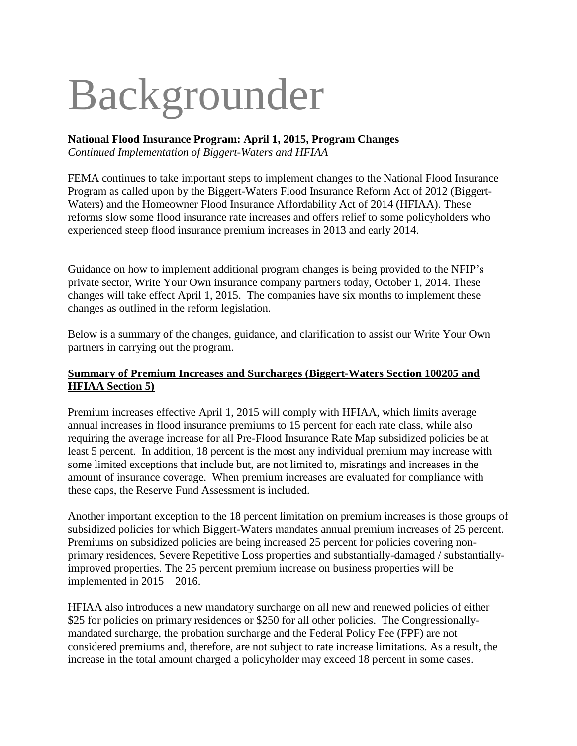# Backgrounder

## **National Flood Insurance Program: April 1, 2015, Program Changes**

*Continued Implementation of Biggert-Waters and HFIAA*

FEMA continues to take important steps to implement changes to the National Flood Insurance Program as called upon by the Biggert-Waters Flood Insurance Reform Act of 2012 (Biggert-Waters) and the Homeowner Flood Insurance Affordability Act of 2014 (HFIAA). These reforms slow some flood insurance rate increases and offers relief to some policyholders who experienced steep flood insurance premium increases in 2013 and early 2014.

Guidance on how to implement additional program changes is being provided to the NFIP's private sector, Write Your Own insurance company partners today, October 1, 2014. These changes will take effect April 1, 2015. The companies have six months to implement these changes as outlined in the reform legislation.

Below is a summary of the changes, guidance, and clarification to assist our Write Your Own partners in carrying out the program.

#### **Summary of Premium Increases and Surcharges (Biggert-Waters Section 100205 and HFIAA Section 5)**

Premium increases effective April 1, 2015 will comply with HFIAA, which limits average annual increases in flood insurance premiums to 15 percent for each rate class, while also requiring the average increase for all Pre-Flood Insurance Rate Map subsidized policies be at least 5 percent. In addition, 18 percent is the most any individual premium may increase with some limited exceptions that include but, are not limited to, misratings and increases in the amount of insurance coverage. When premium increases are evaluated for compliance with these caps, the Reserve Fund Assessment is included.

Another important exception to the 18 percent limitation on premium increases is those groups of subsidized policies for which Biggert-Waters mandates annual premium increases of 25 percent. Premiums on subsidized policies are being increased 25 percent for policies covering nonprimary residences, Severe Repetitive Loss properties and substantially-damaged / substantiallyimproved properties. The 25 percent premium increase on business properties will be implemented in  $2015 - 2016$ .

HFIAA also introduces a new mandatory surcharge on all new and renewed policies of either \$25 for policies on primary residences or \$250 for all other policies. The Congressionallymandated surcharge, the probation surcharge and the Federal Policy Fee (FPF) are not considered premiums and, therefore, are not subject to rate increase limitations. As a result, the increase in the total amount charged a policyholder may exceed 18 percent in some cases.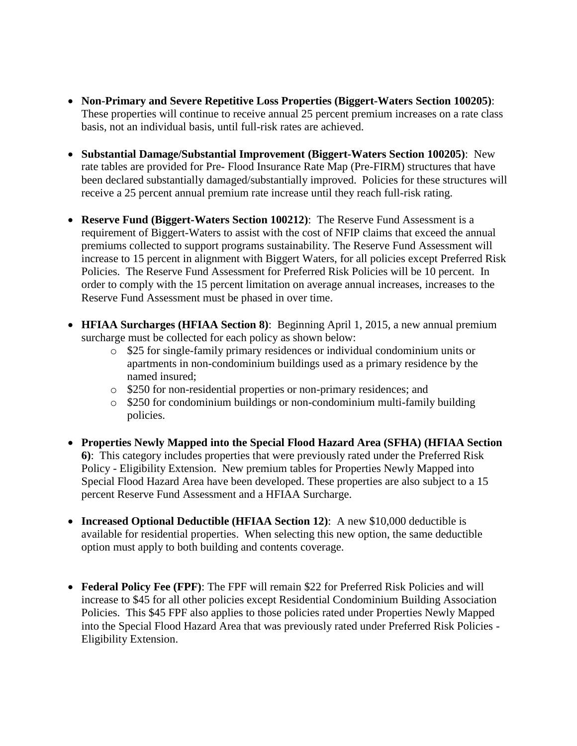- **Non-Primary and Severe Repetitive Loss Properties (Biggert-Waters Section 100205)**: These properties will continue to receive annual 25 percent premium increases on a rate class basis, not an individual basis, until full-risk rates are achieved.
- **Substantial Damage/Substantial Improvement (Biggert-Waters Section 100205)**: New rate tables are provided for Pre- Flood Insurance Rate Map (Pre-FIRM) structures that have been declared substantially damaged/substantially improved. Policies for these structures will receive a 25 percent annual premium rate increase until they reach full-risk rating.
- **Reserve Fund (Biggert-Waters Section 100212)**: The Reserve Fund Assessment is a requirement of Biggert-Waters to assist with the cost of NFIP claims that exceed the annual premiums collected to support programs sustainability. The Reserve Fund Assessment will increase to 15 percent in alignment with Biggert Waters, for all policies except Preferred Risk Policies. The Reserve Fund Assessment for Preferred Risk Policies will be 10 percent. In order to comply with the 15 percent limitation on average annual increases, increases to the Reserve Fund Assessment must be phased in over time.
- **HFIAA Surcharges (HFIAA Section 8)**: Beginning April 1, 2015, a new annual premium surcharge must be collected for each policy as shown below:
	- o \$25 for single-family primary residences or individual condominium units or apartments in non-condominium buildings used as a primary residence by the named insured;
	- o \$250 for non-residential properties or non-primary residences; and
	- o \$250 for condominium buildings or non-condominium multi-family building policies.
- **Properties Newly Mapped into the Special Flood Hazard Area (SFHA) (HFIAA Section 6)**: This category includes properties that were previously rated under the Preferred Risk Policy - Eligibility Extension. New premium tables for Properties Newly Mapped into Special Flood Hazard Area have been developed. These properties are also subject to a 15 percent Reserve Fund Assessment and a HFIAA Surcharge.
- **Increased Optional Deductible (HFIAA Section 12)**: A new \$10,000 deductible is available for residential properties. When selecting this new option, the same deductible option must apply to both building and contents coverage.
- **Federal Policy Fee (FPF)**: The FPF will remain \$22 for Preferred Risk Policies and will increase to \$45 for all other policies except Residential Condominium Building Association Policies. This \$45 FPF also applies to those policies rated under Properties Newly Mapped into the Special Flood Hazard Area that was previously rated under Preferred Risk Policies - Eligibility Extension.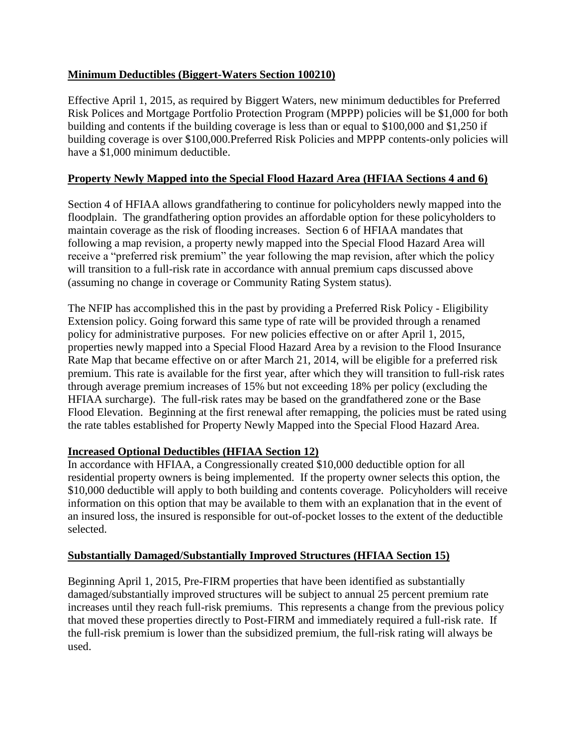### **Minimum Deductibles (Biggert-Waters Section 100210)**

Effective April 1, 2015, as required by Biggert Waters, new minimum deductibles for Preferred Risk Polices and Mortgage Portfolio Protection Program (MPPP) policies will be \$1,000 for both building and contents if the building coverage is less than or equal to \$100,000 and \$1,250 if building coverage is over \$100,000.Preferred Risk Policies and MPPP contents-only policies will have a \$1,000 minimum deductible.

## **Property Newly Mapped into the Special Flood Hazard Area (HFIAA Sections 4 and 6)**

Section 4 of HFIAA allows grandfathering to continue for policyholders newly mapped into the floodplain. The grandfathering option provides an affordable option for these policyholders to maintain coverage as the risk of flooding increases. Section 6 of HFIAA mandates that following a map revision, a property newly mapped into the Special Flood Hazard Area will receive a "preferred risk premium" the year following the map revision, after which the policy will transition to a full-risk rate in accordance with annual premium caps discussed above (assuming no change in coverage or Community Rating System status).

The NFIP has accomplished this in the past by providing a Preferred Risk Policy - Eligibility Extension policy. Going forward this same type of rate will be provided through a renamed policy for administrative purposes. For new policies effective on or after April 1, 2015, properties newly mapped into a Special Flood Hazard Area by a revision to the Flood Insurance Rate Map that became effective on or after March 21, 2014, will be eligible for a preferred risk premium. This rate is available for the first year, after which they will transition to full-risk rates through average premium increases of 15% but not exceeding 18% per policy (excluding the HFIAA surcharge). The full-risk rates may be based on the grandfathered zone or the Base Flood Elevation. Beginning at the first renewal after remapping, the policies must be rated using the rate tables established for Property Newly Mapped into the Special Flood Hazard Area.

#### **Increased Optional Deductibles (HFIAA Section 12)**

In accordance with HFIAA, a Congressionally created \$10,000 deductible option for all residential property owners is being implemented. If the property owner selects this option, the \$10,000 deductible will apply to both building and contents coverage. Policyholders will receive information on this option that may be available to them with an explanation that in the event of an insured loss, the insured is responsible for out-of-pocket losses to the extent of the deductible selected.

#### **Substantially Damaged/Substantially Improved Structures (HFIAA Section 15)**

Beginning April 1, 2015, Pre-FIRM properties that have been identified as substantially damaged/substantially improved structures will be subject to annual 25 percent premium rate increases until they reach full-risk premiums. This represents a change from the previous policy that moved these properties directly to Post-FIRM and immediately required a full-risk rate. If the full-risk premium is lower than the subsidized premium, the full-risk rating will always be used.